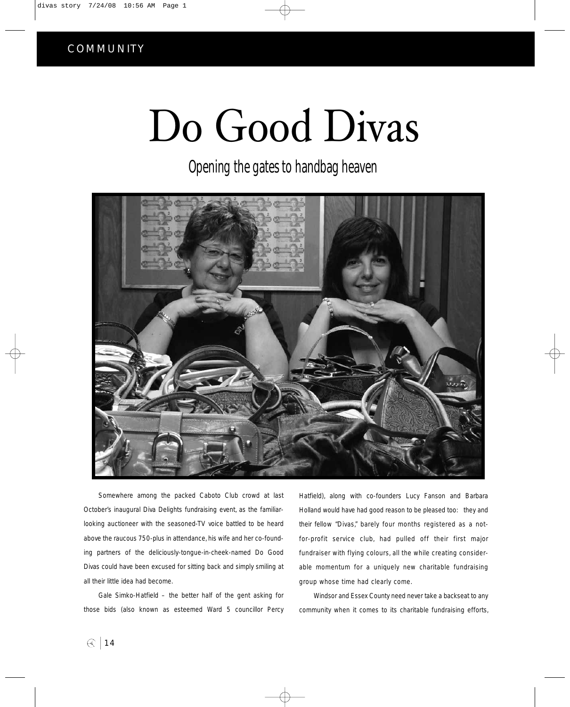## COMMUNITY

## Do Good Divas

Opening the gates to handbag heaven



Somewhere among the packed Caboto Club crowd at last October's inaugural Diva Delights fundraising event, as the familiarlooking auctioneer with the seasoned-TV voice battled to be heard above the raucous 750-plus in attendance, his wife and her co-founding partners of the deliciously-tongue-in-cheek-named Do Good Divas could have been excused for sitting back and simply smiling at all their little idea had become.

Gale Simko-Hatfield – the better half of the gent asking for those bids (also known as esteemed Ward 5 councillor Percy Hatfield), along with co-founders Lucy Fanson and Barbara Holland would have had good reason to be pleased too: they and their fellow "Divas," barely four months registered as a notfor-profit service club, had pulled off their first major fundraiser with flying colours, all the while creating considerable momentum for a uniquely new charitable fundraising group whose time had clearly come.

Windsor and Essex County need never take a backseat to any community when it comes to its charitable fundraising efforts,

 $\bigcirc$  14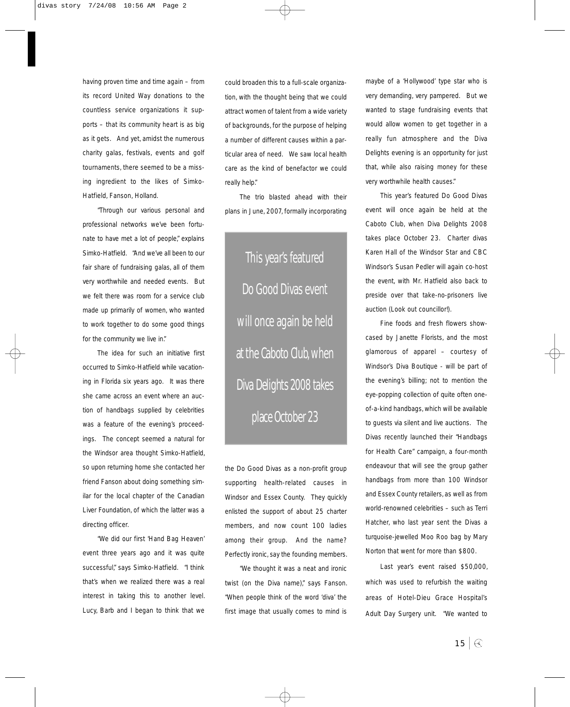having proven time and time again – from its record United Way donations to the countless service organizations it supports – that its community heart is as big as it gets. And yet, amidst the numerous charity galas, festivals, events and golf tournaments, there seemed to be a missing ingredient to the likes of Simko-Hatfield, Fanson, Holland.

"Through our various personal and professional networks we've been fortunate to have met a lot of people," explains Simko-Hatfield. "And we've all been to our fair share of fundraising galas, all of them very worthwhile and needed events. But we felt there was room for a service club made up primarily of women, who wanted to work together to do some good things for the community we live in."

The idea for such an initiative first occurred to Simko-Hatfield while vacationing in Florida six years ago. It was there she came across an event where an auction of handbags supplied by celebrities was a feature of the evening's proceedings. The concept seemed a natural for the Windsor area thought Simko-Hatfield, so upon returning home she contacted her friend Fanson about doing something similar for the local chapter of the Canadian Liver Foundation, of which the latter was a directing officer.

"We did our first 'Hand Bag Heaven' event three years ago and it was quite successful," says Simko-Hatfield. "I think that's when we realized there was a real interest in taking this to another level. Lucy, Barb and I began to think that we could broaden this to a full-scale organization, with the thought being that we could attract women of talent from a wide variety of backgrounds, for the purpose of helping a number of different causes within a particular area of need. We saw local health care as the kind of benefactor we could really help."

The trio blasted ahead with their plans in June, 2007, formally incorporating

This year's featured Do Good Divas event will once again be held at the Caboto Club,when Diva Delights 2008 takes place October 23

the Do Good Divas as a non-profit group supporting health-related causes in Windsor and Essex County. They quickly enlisted the support of about 25 charter members, and now count 100 ladies among their group. And the name? Perfectly ironic, say the founding members.

"We thought it was a neat and ironic twist (on the Diva name)," says Fanson. "When people think of the word 'diva' the first image that usually comes to mind is maybe of a 'Hollywood' type star who is very demanding, very pampered. But we wanted to stage fundraising events that would allow women to get together in a really fun atmosphere and the Diva Delights evening is an opportunity for just that, while also raising money for these very worthwhile health causes."

This year's featured Do Good Divas event will once again be held at the Caboto Club, when Diva Delights 2008 takes place October 23. Charter divas Karen Hall of the Windsor Star and CBC Windsor's Susan Pedler will again co-host the event, with Mr. Hatfield also back to preside over that take-no-prisoners live auction (Look out councillor!).

Fine foods and fresh flowers showcased by Janette Florists, and the most glamorous of apparel – courtesy of Windsor's Diva Boutique - will be part of the evening's billing; not to mention the eye-popping collection of quite often oneof-a-kind handbags, which will be available to guests via silent and live auctions. The Divas recently launched their "Handbags for Health Care" campaign, a four-month endeavour that will see the group gather handbags from more than 100 Windsor and Essex County retailers, as well as from world-renowned celebrities – such as Terri Hatcher, who last year sent the Divas a turquoise-jewelled Moo Roo bag by Mary Norton that went for more than \$800.

Last year's event raised \$50,000, which was used to refurbish the waiting areas of Hotel-Dieu Grace Hospital's Adult Day Surgery unit. "We wanted to

 $15 \mid \textcircled{4}$